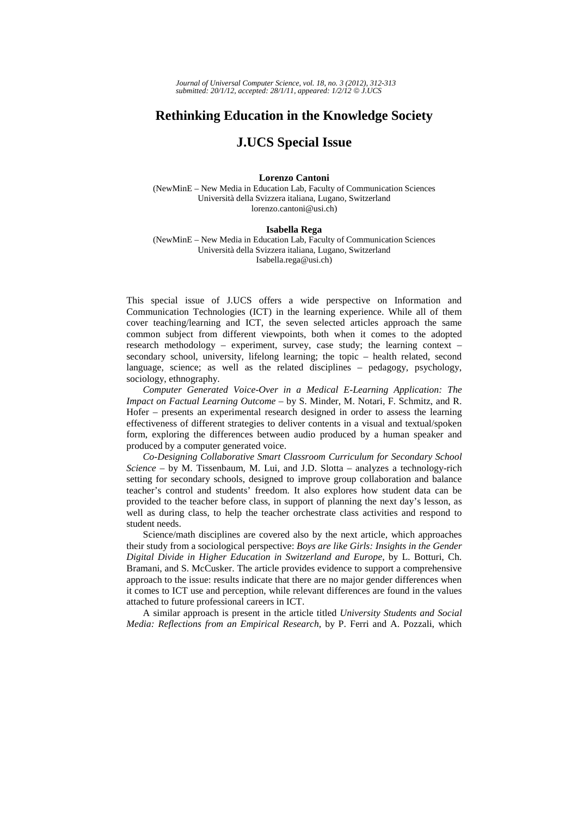## **Rethinking Education in the Knowledge Society**

## **J.UCS Special Issue**

## **Lorenzo Cantoni**

(NewMinE – New Media in Education Lab, Faculty of Communication Sciences Università della Svizzera italiana, Lugano, Switzerland lorenzo.cantoni@usi.ch)

## **Isabella Rega**

(NewMinE – New Media in Education Lab, Faculty of Communication Sciences Università della Svizzera italiana, Lugano, Switzerland Isabella.rega@usi.ch)

This special issue of J.UCS offers a wide perspective on Information and Communication Technologies (ICT) in the learning experience. While all of them cover teaching/learning and ICT, the seven selected articles approach the same common subject from different viewpoints, both when it comes to the adopted research methodology – experiment, survey, case study; the learning context – secondary school, university, lifelong learning; the topic – health related, second language, science; as well as the related disciplines – pedagogy, psychology, sociology, ethnography.

*Computer Generated Voice-Over in a Medical E-Learning Application: The Impact on Factual Learning Outcome* – by S. Minder, M. Notari, F. Schmitz, and R. Hofer – presents an experimental research designed in order to assess the learning effectiveness of different strategies to deliver contents in a visual and textual/spoken form, exploring the differences between audio produced by a human speaker and produced by a computer generated voice.

*Co-Designing Collaborative Smart Classroom Curriculum for Secondary School Science* – by M. Tissenbaum, M. Lui, and J.D. Slotta – analyzes a technology-rich setting for secondary schools, designed to improve group collaboration and balance teacher's control and students' freedom. It also explores how student data can be provided to the teacher before class, in support of planning the next day's lesson, as well as during class, to help the teacher orchestrate class activities and respond to student needs.

Science/math disciplines are covered also by the next article, which approaches their study from a sociological perspective: *Boys are like Girls: Insights in the Gender Digital Divide in Higher Education in Switzerland and Europe*, by L. Botturi, Ch. Bramani, and S. McCusker. The article provides evidence to support a comprehensive approach to the issue: results indicate that there are no major gender differences when it comes to ICT use and perception, while relevant differences are found in the values attached to future professional careers in ICT.

A similar approach is present in the article titled *University Students and Social Media: Reflections from an Empirical Research*, by P. Ferri and A. Pozzali, which